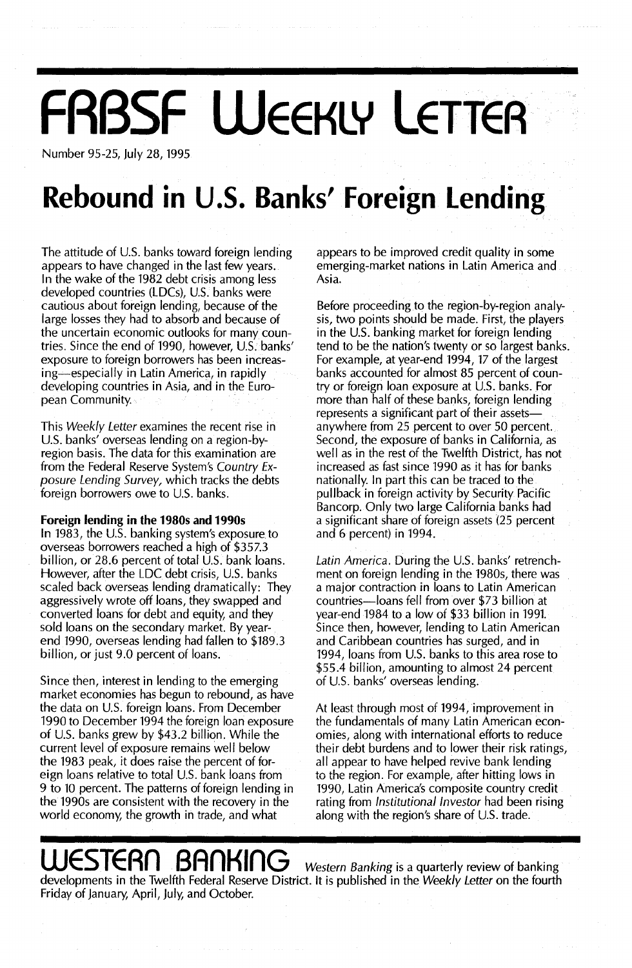# **FRBSF WEEKLY LETTER**

Number 95-25, July 28, 1995

## **Rebound in u.s. Banks' Foreign Lending**

The attitude of U.S. banks toward foreign lending appears to have changed in the last few years. In the wake of the 1982 debt crisis among less developed countries (LDCs), U.S. banks were cautious about foreign lending, because of the large losses they had to absorb and because of the uncertain economic outlooks for many countries. Since the end of 1990, however, U.S. banks' exposure to foreign borrowers has been increasing-especially in Latin America, in rapidly developing countries in Asia, and in the European Community.

This Weekly Letter examines the recent rise in U.S. banks' overseas lending on a region-byregion basis. The data for this examination are from the Federal Reserve System's Country Exposure Lending Survey, which tracks the debts foreign borrowers owe to U.S. banks.

### **Foreign lending in the 19805 and 19905**

In 1983, the U.S. banking system's exposure to overseas borrowers reached a high of \$357.3 billion, or 28.6 percent of total U.S. bank loans. However, after the LDC debt crisis, U.S. banks scaled back overseas lending dramatically: They aggressively wrote off loans, they swapped and converted loans for debt and equity, and they sold loans on the secondary market. By yearend 1990, overseas lending had fallen to \$189.3 billion, or just 9.0 percent of loans.

Since then, interest in lending to the emerging market economies has begun to rebound, as have the data on U.S. foreign loans. From December 1990 to December 1994 the foreign loan exposure of U.S. banks grew by \$43.2 billion. While the current level of exposure remains well below the 1983 peak, it does raise the percent of foreign loans relative to total U.S. bank loans from 9 to 10 percent. The patterns of foreign lending in the 1990s are consistent with the recovery in the world economy, the growth in trade, and what

appears to be improved credit quality in some emerging-market nations in Latin America and Asia.

Before proceeding to the region-by-region analysis, two points should be made. First, the players in the U.S. banking market for foreign lending tend to be the nation's twenty or so largest banks. For example, at year-end 1994, 17 of the largest banks accounted for almost 85 percent of country or foreign loan exposure at U.S. banks. For more than half of these banks, foreign lending represents a significant part of their assetsanywhere from 25 percent to over 50 percent. Second, the exposure of banks in California, as well as in the rest of the Twelfth District, has not increased as fast since 1990 as it has for banks nationally. In part this can be traced to the pullback in foreign activity by Security Pacific Bancorp. Only two large California banks had a significant share of foreign assets (25 percent and 6 percent) in 1994.

Latin America. During the U.S. banks' retrenchment on foreign lending in the 1980s, there was a major contraction in loans to Latin American countries-loans fell from over \$73 billion at year-end 1984 to a low of \$33 billion in 1991. Since then, however, lending to Latin American and Caribbean countries has surged, and in 1994, loans from U.S. banks to this area rose to \$55.4 billion, amounting to almost 24 percent of U.S. banks' overseas lending.

At least through most of 1994, improvement in the fundamentals of many Latin American economies, along with international efforts to reduce their debt burdens and to lower their risk ratings, all appear to have helped revive bank lending to the region. For example, after hitting lows in 1990, Latin America's composite country credit rating from Institutional Investor had been rising along with the region's share of U.s. trade.

## **WESTERn BAnKinG** Western Banking is <sup>a</sup> quarterly review of banking

developments in the Twelfth Federal Reserve District. It is published in the Weekly Letter on the fourth Friday of January, April, July, and October.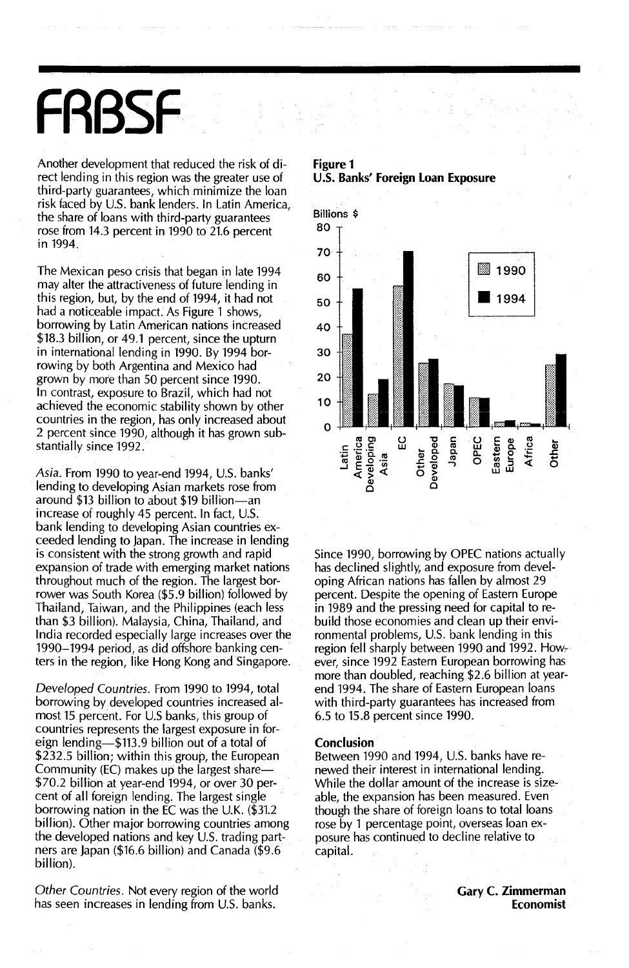## FRRS

Another development that reduced the risk of direct lending in this region was the greater use of third-party guarantees, which minimize the loan risk faced by U.S. bank lenders. In Latin America, the share of loans with third-party guarantees rose from 14.3 percent in 1990 to 21.6 percent in 1994.

The Mexican peso crisis that began in late 1994 may alter the attractiveness of future lending in this region, but, by the end of 1994, it had not had a noticeable impact. As Figure 1 shows, borrowing by Latin American nations increased \$18.3 billion, or 49.1 percent, since the upturn in international lending in 1990. By 1994 borrowing by both Argentina and Mexico had grown by more than 50 percent since 1990. In contrast, exposure to Brazil, which had not achieved the economic stability shown by other countries in the region, has only increased about 2 percent since 1990, although it has grown substantially since 1992.

Asia. From 1990 to year-end 1994, U.S. banks' lending to developing Asian markets rose from around \$13 billion to about \$19 billion—an increase of roughly 45 percent. In fact, U.S. bank lending to developing Asian countries exceeded lending to Japan. The increase in lending is consistent with the strong growth and rapid expansion of trade with emerging market nations throughout much of the region. The largest borrower was South Korea (\$5.9 billion) followed by Thailand, Taiwan, and the Philippines (each less than \$3 billion). Malaysia, China, Thailand, and India recorded especially large increases over the 1990–1994 period, as did offshore banking centers in the region, like Hong Kong and Singapore.

Developed Countries. From 1990 to 1994, total borrowing by developed countries increased almost 15 percent. For U.S banks, this group of countries represents the largest exposure in foreign lending—\$113.9 billion out of a total of \$232.5 billion; within this group, the European Community (EC) makes up the largest share-\$70.2 billion at year-end 1994, or over 30 percent of all foreign lending. The largest single borrowing nation in the EC was the U.K. (\$31.2) billion). Other major borrowing countries among the developed nations and key U.S. trading partners are Japan (\$16.6 billion) and Canada (\$9.6 billion).

Other Countries. Not every region of the world has seen increases in lending from U.S. banks.

**Figure 1** U.S. Banks' Foreign Loan Exposure



Since 1990, borrowing by OPEC nations actually has declined slightly, and exposure from developing African nations has fallen by almost 29 percent. Despite the opening of Eastern Europe in 1989 and the pressing need for capital to rebuild those economies and clean up their environmental problems, U.S. bank lending in this region fell sharply between 1990 and 1992. However, since 1992 Eastern European borrowing has more than doubled, reaching \$2.6 billion at yearend 1994. The share of Eastern European loans with third-party guarantees has increased from 6.5 to 15.8 percent since 1990.

#### Conclusion

Between 1990 and 1994, U.S. banks have renewed their interest in international lending. While the dollar amount of the increase is sizeable, the expansion has been measured. Even though the share of foreign loans to total loans rose by 1 percentage point, overseas loan exposure has continued to decline relative to capital.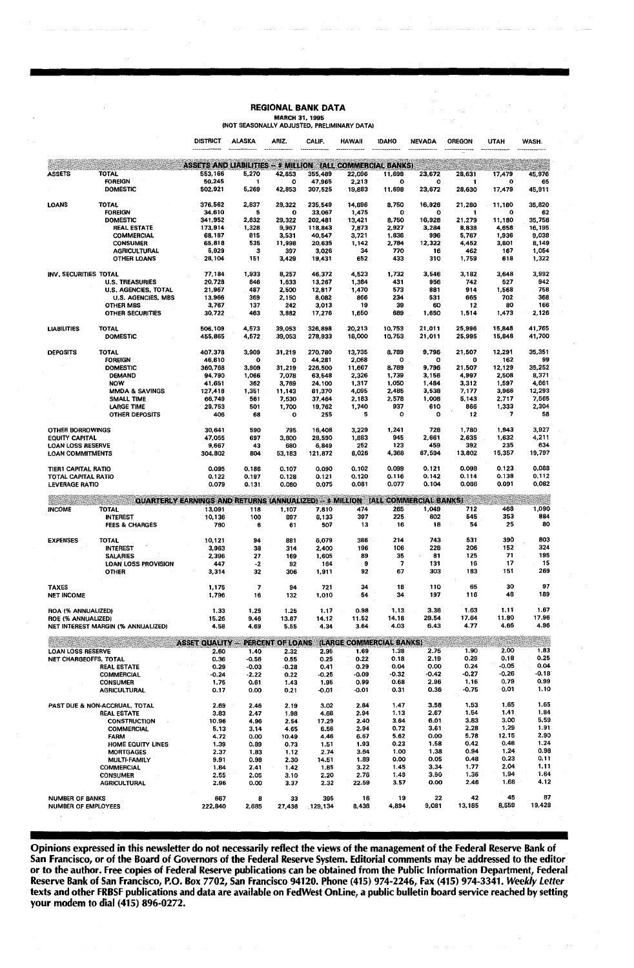### **REGIONAL BANK DATA**

### **MARCH 31, 1995<br>(NOT SEASONALLY ADJUSTED, PRELIMINARY DATA)**

|                                                             |                                                                                         | <b>DISTRICT</b>         | <b>ALASKA</b>    | ARIZ.            | CALIF.             | <b>HAWAII</b>            | <b>IDAHO</b>   | <b>NEVADA</b>   | <b>OREGON</b>   | UTAH            | WASH.            |
|-------------------------------------------------------------|-----------------------------------------------------------------------------------------|-------------------------|------------------|------------------|--------------------|--------------------------|----------------|-----------------|-----------------|-----------------|------------------|
| ASSETS AND LIABILITIES -- \$ MILLION (ALL COMMERCIAL BANKS) |                                                                                         |                         |                  |                  |                    |                          |                |                 |                 |                 |                  |
| <b>ASSETS</b>                                               | TOTAL                                                                                   | 553,166                 | 5,270            | 42,853           | 355.489            | 22,096                   | 11,698         | 23,672          | 28,631          | 17,479          | 45.976           |
|                                                             | <b>FOREIGN</b>                                                                          | 50,245                  | 1                | ۰                | 47,965             | 2,213                    | Ω              | 0               | 1               | $\mathbf{o}$    | 65               |
|                                                             | <b>DOMESTIC</b>                                                                         | 502,921                 | 5,269            | 42,853           | 307,525            | 19,883                   | 11,698         | 23,672          | 28,630          | 17,479          | 45,911           |
| LOANS                                                       | <b>TOTAL</b>                                                                            | 376,562                 | 2,837            | 29,322           | 235,549            | 14,896                   | 8,750          | 16,928          | 21,280          | 11,180          | 35,820           |
|                                                             | <b>FOREIGN</b>                                                                          | 34,610                  | 5                | o                | 33,067             | 1,475                    | ٥              | ۰               | 1               | o               | 62               |
|                                                             | <b>DOMESTIC</b><br><b>REAL ESTATE</b>                                                   | 341,952<br>173,914      | 2.832<br>1,328   | 29,322<br>9,967  | 202,481<br>118,843 | 13,421<br>7,873          | 8,750<br>2,927 | 16,928<br>3,284 | 21,279<br>8,838 | 11,180<br>4,658 | 35,758<br>16,195 |
|                                                             | <b>COMMERCIAL</b>                                                                       | 68,187                  | 815              | 3,531            | 40,547             | 3,721                    | 1,836          | 996             | 5,767           | 1,936           | 9,038            |
|                                                             | <b>CONSUMER</b>                                                                         | 65,818                  | 535              | 11,998           | 20,635             | 1,142                    | 2,784          | 12,322          | 4,452           | 3,801           | 8,149            |
|                                                             | <b>AGRICULTURAL</b><br>OTHER LOANS                                                      | 5,929<br>28,104         | з<br>151         | 397<br>3,429     | 3,026<br>19,431    | 34<br>652                | 770<br>433     | 16<br>310       | 462<br>1,759    | 167<br>618      | 1,054<br>1,322   |
|                                                             |                                                                                         |                         |                  |                  |                    |                          |                |                 |                 |                 |                  |
| INV. SECURITIES TOTAL                                       |                                                                                         | 77,184                  | 1,933            | 8.257            | 46,372             | 4,523                    | 1,732          | 3,546           | 3,182           | 3,648           | 3,992            |
|                                                             | <b>U.S. TREASURIES</b>                                                                  | 20,728                  | 846              | 1,633            | 13,267             | 1,384                    | 431<br>573     | 956<br>881      | 742             | 527             | 942<br>758       |
|                                                             | <b>U.S. AGENCIES, TOTAL</b><br>U.S. AGENCIES, MBS                                       | 21,967<br>13,966        | 487<br>369       | 2,500<br>2,150   | 12,817<br>8,082    | 1,470<br>866             | 234            | 531             | 914<br>665      | 1,568<br>702    | 368              |
|                                                             | <b>OTHER MBS</b>                                                                        | 3,767                   | 137              | 242              | 3,013              | 19                       | 39             | 60              | 12              | 80              | 166              |
|                                                             | <b>OTHER SECURITIES</b>                                                                 | 30,722                  | 463              | 3,882            | 17,276             | 1,650                    | 689            | 1,650           | 1,514           | 1,473           | 2,126            |
| <b>LIABILITIES</b>                                          | <b>TOTAL</b>                                                                            | 506,109                 | 4,573            | 39,053           | 326,898            | 20,213                   | 10,753         | 21,011          | 25,996          | 15,848          | 41,765           |
|                                                             | <b>DOMESTIC</b>                                                                         | 455,865                 | 4,572            | 39,053           | 278,933            | 18,000                   | 10,753         | 21,011          | 25,995          | 15,848          | 41,700           |
|                                                             |                                                                                         |                         |                  |                  |                    |                          |                |                 |                 |                 |                  |
| <b>DEPOSITS</b>                                             | <b>TOTAL</b><br><b>FOREIGN</b>                                                          | 407,378<br>46,610       | 3,909<br>۰       | 31,219<br>۰      | 270,780<br>44,281  | 13,735<br>2,068          | 8,789<br>o     | 9,796<br>o      | 21,507<br>o     | 12,291<br>162   | 35,351<br>99     |
|                                                             | <b>DOMESTIC</b>                                                                         | 360.768                 | 3,909            | 31,219           | 226,500            | 11,667                   | 8,789          | 9,796           | 21,507          | 12,129          | 35,252           |
|                                                             | DEMAND                                                                                  | 94,790                  | 1,066            | 7,078            | 63,548             | 2,326                    | 1,739          | 3,156           | 4,997           | 2,508           | 8,371            |
|                                                             | <b>NOW</b>                                                                              | 41,651                  | 352              | 3,769            | 24,100             | 1,317                    | 1,050          | 1,484           | 3,312           | 1,597           | 4,661            |
|                                                             | <b>MMDA &amp; SAVINGS</b>                                                               | 127,418<br>66,749       | 1,351<br>561     | 11,143           | 81,370             | 4,095<br>2,183           | 2,485<br>2,578 | 3,538<br>1,008  | 7,177<br>5,143  | 3,966<br>2,717  | 12,293<br>7,565  |
|                                                             | SMALL TIME<br>LARGE TIME                                                                | 29,753                  | 501              | 7,530<br>1,700   | 37,464<br>19,762   | 1,740                    | 937            | 610             | 866             | 1,333           | 2,304            |
|                                                             | OTHER DEPOSITS                                                                          | 406                     | 68               | о                | 255                | 5                        | o              | ۰               | 12              | 7               | 58               |
|                                                             |                                                                                         |                         |                  |                  |                    |                          |                |                 |                 |                 |                  |
| OTHER BORROWINGS<br><b>EQUITY CAPITAL</b>                   |                                                                                         | 30,641<br>47,055        | 590              | 795              | 16,408<br>28.590   | 3,229                    | 1,241<br>945   | 728<br>2,661    | 1,780<br>2,635  | 1,943<br>1,632  | 3,927<br>4,211   |
| <b>LOAN LOSS RESERVE</b>                                    |                                                                                         | 9,667                   | 697<br>43        | 3,800<br>680     | 6,849              | 1,883<br>252             | 123            | 459             | 392             | 235             | 634              |
| <b>LOAN COMMITMENTS</b>                                     |                                                                                         | 304,802                 | 804              | 53,183           | 121,872            | 8.026                    | 4.368          | 67,594          | 13,802          | 15.357          | 19,797           |
|                                                             |                                                                                         |                         |                  |                  |                    |                          |                |                 |                 |                 | 0.088            |
| <b>TIER1 CAPITAL RATIO</b><br><b>TOTAL CAPITAL RATIO</b>    |                                                                                         | 0.095<br>0.122          | 0.186<br>0.197   | 0.107<br>0.128   | 0.090<br>0.121     | 0.102<br>0.120           | 0.099<br>0.116 | 0.121<br>0.142  | 0.098<br>0.114  | 0.123<br>0.138  | 0.112            |
| <b>LEVERAGE RATIO</b>                                       |                                                                                         | 0.079                   | 0.131            | 0.030            | 0.075              | 0.081                    | 0.077          | 0.104           | 0.086           | 0.091           | 0.082            |
|                                                             |                                                                                         |                         |                  |                  |                    |                          |                |                 |                 |                 |                  |
|                                                             | <b>QUARTERLY EARNINGS AND RETURNS (ANNUALIZED) -- \$ MILLION (ALL COMMERCIAL BANKS)</b> |                         |                  |                  |                    |                          |                |                 |                 |                 |                  |
| <b>INCOME</b>                                               | <b>TOTAL</b><br><b>INTEREST</b>                                                         | 13,091<br>10,136        | 118<br>100       | 1,107<br>897     | 7,810<br>6,133     | 474<br>397               | 265<br>225     | 1,049<br>602    | 712<br>545      | 468<br>353      | 1,090<br>884     |
|                                                             | <b>FEES &amp; CHARGES</b>                                                               | 780                     | 6                | 61               | 507                | 13                       | 16             | 18              | 54              | 25              | 80               |
|                                                             |                                                                                         |                         |                  |                  |                    |                          |                |                 |                 |                 |                  |
| <b>EXPENSES</b>                                             | <b>TOTAL</b>                                                                            | 10,121                  | 94<br>38         | 881<br>314       | 6.079              | 386<br>196               | 214<br>106     | 743<br>228      | 531<br>206      | 390<br>152      | 803<br>324       |
|                                                             | <b>INTEREST</b><br><b>SALARIES</b>                                                      | 3,963<br>2,396          | 27               | 169              | 2,400<br>1,605     | 89                       | 35             | 81              | 125             | 71              | 195              |
|                                                             | <b>LOAN LOSS PROVISION</b>                                                              | 447                     | -2               | 92               | 164                | 9                        | 7              | 131             | 16              | 17              | 15               |
|                                                             | <b>OTHER</b>                                                                            | 3,314                   | 32               | 306              | 1,911              | 92                       | 67             | 303             | 183             | 151             | 269              |
| <b>TAXES</b>                                                |                                                                                         | 1,175                   | 7                | 94               | 721                | 34                       | 18             | 110             | 65              | 30              | 97               |
| <b>NET INCOME</b>                                           |                                                                                         | 1,796                   | 16               | 132              | 1,010              | 54                       | 34             | 197             | 116             | 48              | 189              |
|                                                             |                                                                                         |                         |                  |                  |                    |                          |                |                 |                 |                 |                  |
| ROA (% ANNUALIZED)<br>ROE (% ANNUALIZED)                    |                                                                                         | 1.33<br>15.26           | 1.25<br>9.46     | 1.25<br>13.87    | 1.17<br>14.12      | 0.98<br>11.52            | 1.13<br>14.18  | 3.38<br>29.54   | 1.63<br>17.64   | 1.11<br>11.80   | 1.67<br>17.96    |
|                                                             | NET INTEREST MARGIN (% ANNUALIZED)                                                      | 4.58                    | 4.69             | 5.55             | 4.34               | 3.64                     | 4.03           | 6.43            | 4.77            | 4.66            | 4.96             |
|                                                             |                                                                                         |                         |                  |                  |                    |                          |                |                 |                 |                 |                  |
|                                                             |                                                                                         | <b>ASSET QUALITY --</b> |                  | PERCENT OF LOANS |                    | (LARGE COMMERCIAL BANKS) |                |                 |                 |                 |                  |
| <b>LOAN LOSS RESERVE</b>                                    |                                                                                         | 2.60                    | 1.40             | 2.32             | 2.95               | 1.69<br>0.22             | 1.38<br>0.18   | 2.75<br>2.19    | 1.90<br>0.29    | 2.00<br>0.18    | 1.83<br>0.25     |
| NET CHARGEOFFS, TOTAL                                       | <b>REAL ESTATE</b>                                                                      | 0.36<br>0.29            | -0.56<br>$-0.03$ | 0.55<br>$-0.28$  | 0.25<br>0.41       | 0.29                     | 0.04           | 0.00            | 0.24            | $-0.05$         | 0.04             |
|                                                             | <b>COMMERCIAL</b>                                                                       | -0.24                   | $-2.22$          | 0.22             | -0.25              | $-0.09$                  | $-0.32$        | $-0.42$         | $-0.27$         | $-0.26$         | -0.18            |
|                                                             | <b>CONSUMER</b>                                                                         | 1.75                    | 0.61             | 1.43             | 1.95               | 0.99                     | 0.68           | 2.96            | 1.16            | 0.79            | 0.99             |
|                                                             | <b>AGRICULTURAL</b>                                                                     | 0.17                    | 0.00             | 0.21             | $-0.01$            | $-0.01$                  | 0.31           | 0.36            | $-0.75$         | 0.01            | 1.10             |
|                                                             | PAST DUE & NON-ACCRUAL, TOTAL                                                           | 2.69                    | 2.46             | 2.19             | 3.02               | 2.84                     | 1.47           | 3.58            | 1.53            | 1.65            | 1.65             |
|                                                             | REAL ESTATE                                                                             | 3.83                    | 2.47             | 1.98             | 4.68               | 2.94                     | 1.13           | 2.67            | 1.54            | 1.41            | 1.84             |
|                                                             | <b>CONSTRUCTION</b>                                                                     | 10.96                   | 4.96             | 2.54             | 17.29              | 2.40                     | 3.64           | 6.01            | 3.83            | 3.00<br>1.29    | 5.59<br>1.91     |
|                                                             | <b>COMMERCIAL</b><br><b>FARM</b>                                                        | 5.13<br>4.72            | 3.14<br>0.00     | 4.65<br>10.49    | 6.56<br>4.46       | 2.94<br>6.67             | 0.72<br>5.62   | 3.61<br>0.00    | 2.28<br>5.78    | 12.15           | 2.90             |
|                                                             | HOME EQUITY LINES                                                                       | 1.39                    | 0.89             | 0.73             | 1.51               | 1.93                     | 0.23           | 1.58            | 0.42            | 0.48            | 1.24             |
|                                                             | <b>MORTGAGES</b>                                                                        | 2.37                    | 1.83             | 1.12             | 2.74               | 3.64                     | 1.00           | 1.38            | 0.94            | 1.24            | 0.98             |
|                                                             | MULTI-FAMILY                                                                            | 9.91                    | 0.98             | 2.30             | 14.51              | 1.89                     | 0.00           | 0.05            | 0.48            | 0.23            | 0.11             |
|                                                             | COMMERCIAL<br><b>CONSUMER</b>                                                           | 1.84<br>2.55            | 2.41<br>2.05     | 1.42<br>3.10     | 1.85<br>2.20       | 3.22<br>2.76             | 1.45<br>1.49   | 3.34<br>3.90    | 1.77<br>1.36    | 2.04<br>1.94    | 1.11<br>1.64     |
|                                                             | <b>AGRICULTURAL</b>                                                                     | 2.96                    | 0.00             | 3.37             | 2.32               | 22.59                    | 3.57           | 0.00            | 2.46            | 1.68            | 4.12             |
|                                                             |                                                                                         |                         |                  |                  |                    |                          |                |                 |                 |                 |                  |
| <b>NUMBER OF BANKS</b><br>NUMBER OF EMPLOYEES               |                                                                                         | 667<br>222,840          | 8<br>2,685       | 33<br>27,436     | 395<br>129,134     | 16<br>8,438              | 19<br>4,894    | 22<br>9,081     | 42<br>13,185    | 45<br>8,559     | 87<br>19,428     |
|                                                             |                                                                                         |                         |                  |                  |                    |                          |                |                 |                 |                 |                  |

Opinions expressed in this newsletter do not necessarily reflect the views of the management of the Federal Reserve Bank of San Francisco, or of the Board of Governors of the Federal Reserve System. Editorial comments may be addressed to the editor or to the author. Free copies of Federal Reserve publications can be obtained from the Public Information Department, Federal Reserve Bank of San Francisco, P.O. Box 7702, San Francisco 94120. Phone (415) 974-2246, Fax (415) 974-3341. Weekly Letter texts and other FRBSF publications and data are available on FedWest OnLine, a public bulletin board service reached by setting **your modem to dial (415) 896-0272.**